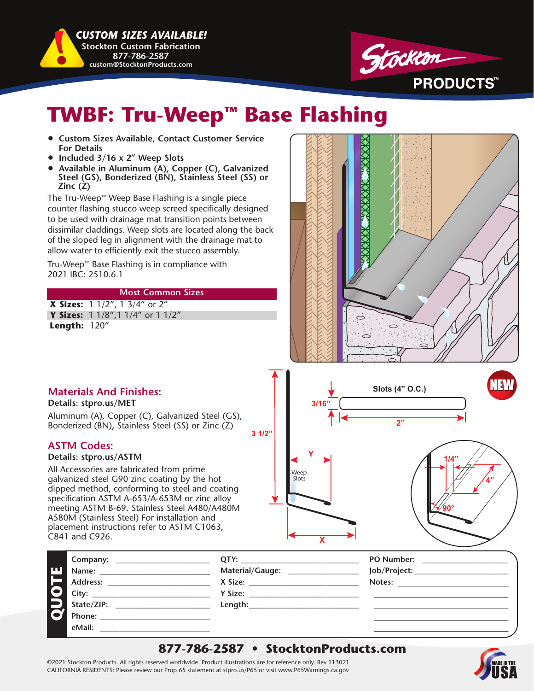*CUSTOM SIZES AVAILABLE!*  **Stockton Custom Fabrication 877-786-2587 custom@StocktonProducts.com**



## **TWBF: Tru-Weep™ Base Flashing**

- **Custom Sizes Available, Contact Customer Service For Details**
- **Included 3/16 x 2" Weep Slots**
- **Available in Aluminum (A), Copper (C), Galvanized Steel (GS), Bonderized (BN), Stainless Steel (SS) or Zinc (Z)**

The Tru-Weep™ Weep Base Flashing is a single piece counter flashing stucco weep screed specifically designed to be used with drainage mat transition points between dissimilar claddings. Weep slots are located along the back of the sloped leg in alignment with the drainage mat to allow water to efficiently exit the stucco assembly.

Tru-Weep™ Base Flashing is in compliance with 2021 IBC: 2510.6.1

#### **Most Common Sizes**

**X Sizes:** 1 1/2", 1 3/4" or 2"  **Y Sizes:** 1 1/8",1 1/4" or 1 1/2" **Length:** 120"



## **Materials And Finishes:**

**Details: stpro.us/MET**

Aluminum (A), Copper (C), Galvanized Steel (GS), Bonderized (BN), Stainless Steel (SS) or Zinc (Z)

### **ASTM Codes:**

#### **Details: stpro.us/ASTM**

All Accessories are fabricated from prime galvanized steel G90 zinc coating by the hot dipped method, conforming to steel and coating specification ASTM A-653/A-653M or zinc alloy meeting ASTM B-69. Stainless Steel A480/A480M A580M (Stainless Steel) For installation and placement instructions refer to ASTM C1063, C841 and C926.



|    | Company:                                                | OTY:            | <b>PO Number:</b> |
|----|---------------------------------------------------------|-----------------|-------------------|
| IШ | Name:                                                   | Material/Gauge: | Job/Project:      |
|    | Address:                                                | X Size:         | Notes:            |
|    | City:<br><u> 1980 - Jan Samuel Barbara, margaret e</u>  | Y Size:         |                   |
|    | State/ZIP:                                              | Length:         |                   |
|    | Phone:<br><u> 1980 - Andrea Andrew Maria (h. 1980).</u> |                 |                   |
|    | eMail:                                                  |                 |                   |
|    |                                                         |                 |                   |

**3 1/2"**

### **877-786-2587 • StocktonProducts.com**

©2021 Stockton Products. All rights reserved worldwide. Product illustrations are for reference only. Rev 113021 CALIFORNIA RESIDENTS: Please review our Prop 65 statement at stpro.us/P65 or visit www.P65Warnings.ca.gov